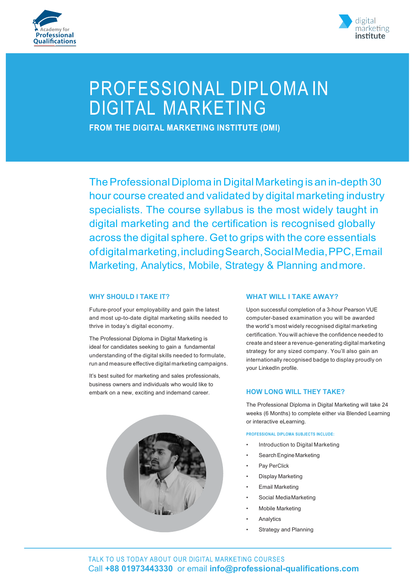



# PROFESSIONAL DIPLOMAIN **DIGITAL MARKETING**

**FROM THE DIGITAL MARKETING INSTITUTE (DMI)** 

The Professional Diploma in Digital Marketing is an in-depth 30 hour course created and validated by digital marketing industry specialists. The course syllabus is the most widely taught in digital marketing and the certification is recognised globally across the digital sphere. Get to grips with the core essentials ofdigitalmarketing,includingSearch,SocialMedia,PPC,Email Marketing, Analytics, Mobile, Strategy & Planning andmore.

## **WHY SHOULD I TAKE IT?**

Future-proof your employability and gain the latest and most up-to-date digital marketing skills needed to thrive in today's digital economy.

The Professional Diploma in Digital Marketing is ideal for candidates seeking to gain a fundamental understanding of the digital skills needed to formulate, run and measure effective digital marketing campaigns.

It's best suited for marketing and sales professionals, business owners and individuals who would like to embark on a new, exciting and indemand career.



#### **WHAT WILL I TAKE AWAY?**

Upon successful completion of a 3-hour Pearson VUE computer-based examination you will be awarded the world's most widely recognised digital marketing certification. You will achieve the confidence needed to create and steer a revenue-generating digital marketing strategy for any sized company. You'll also gain an internationally recognised badge to display proudly on your LinkedIn profile.

## **HOW LONG WILL THEY TAKE?**

The Professional Diploma in Digital Marketing will take 24 weeks (6 Months) to complete either via Blended Learning or interactive eLearning.

**PROFESSIONAL DIPLOMA SUBJECTS INCLUDE:**

- Introduction to Digital Marketing
- Search Engine Marketing
- Pay PerClick
- Display Marketing
- **Email Marketing**
- Social MediaMarketing
- Mobile Marketing
- **Analytics**
- Strategy and Planning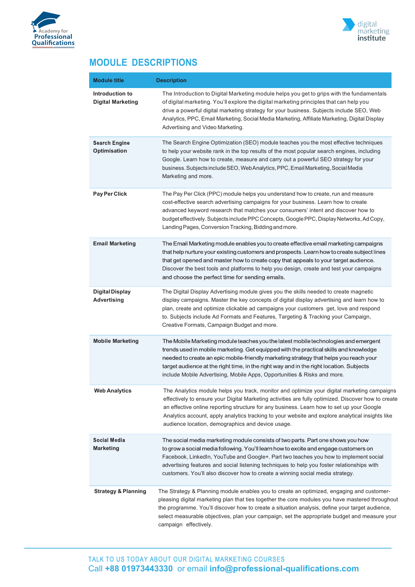



# **MODULE DESCRIPTIONS**

| <b>Module title</b>                          | <b>Description</b>                                                                                                                                                                                                                                                                                                                                                                                                                                       |  |
|----------------------------------------------|----------------------------------------------------------------------------------------------------------------------------------------------------------------------------------------------------------------------------------------------------------------------------------------------------------------------------------------------------------------------------------------------------------------------------------------------------------|--|
| Introduction to<br><b>Digital Marketing</b>  | The Introduction to Digital Marketing module helps you get to grips with the fundamentals<br>of digital marketing. You'll explore the digital marketing principles that can help you<br>drive a powerful digital marketing strategy for your business. Subjects include SEO, Web<br>Analytics, PPC, Email Marketing, Social Media Marketing, Affiliate Marketing, Digital Display<br>Advertising and Video Marketing.                                    |  |
| <b>Search Engine</b><br><b>Optimisation</b>  | The Search Engine Optimization (SEO) module teaches you the most effective techniques<br>to help your website rank in the top results of the most popular search engines, including<br>Google. Learn how to create, measure and carry out a powerful SEO strategy for your<br>business. Subjects include SEO, Web Analytics, PPC, Email Marketing, Social Media<br>Marketing and more.                                                                   |  |
| Pay Per Click                                | The Pay Per Click (PPC) module helps you understand how to create, run and measure<br>cost-effective search advertising campaigns for your business. Learn how to create<br>advanced keyword research that matches your consumers' intent and discover how to<br>budget effectively. Subjects include PPC Concepts, Google PPC, Display Networks, Ad Copy,<br>Landing Pages, Conversion Tracking, Bidding and more.                                      |  |
| <b>Email Marketing</b>                       | The Email Marketing module enables you to create effective email marketing campaigns<br>that help nurture your existing customers and prospects. Learn how to create subject lines<br>that get opened and master how to create copy that appeals to your target audience.<br>Discover the best tools and platforms to help you design, create and test your campaigns<br>and choose the perfect time for sending emails.                                 |  |
| <b>Digital Display</b><br><b>Advertising</b> | The Digital Display Advertising module gives you the skills needed to create magnetic<br>display campaigns. Master the key concepts of digital display advertising and learn how to<br>plan, create and optimize clickable ad campaigns your customers get, love and respond<br>to. Subjects include Ad Formats and Features, Targeting & Tracking your Campaign,<br>Creative Formats, Campaign Budget and more.                                         |  |
| <b>Mobile Marketing</b>                      | The Mobile Marketing module teaches you the latest mobile technologies and emergent<br>trends used in mobile marketing. Get equipped with the practical skills and knowledge<br>needed to create an epic mobile-friendly marketing strategy that helps you reach your<br>target audience at the right time, in the right way and in the right location. Subjects<br>include Mobile Advertising, Mobile Apps, Opportunities & Risks and more.             |  |
| <b>Web Analytics</b>                         | The Analytics module helps you track, monitor and optimize your digital marketing campaigns<br>effectively to ensure your Digital Marketing activities are fully optimized. Discover how to create<br>an effective online reporting structure for any business. Learn how to set up your Google<br>Analytics account, apply analytics tracking to your website and explore analytical insights like<br>audience location, demographics and device usage. |  |
| Social Media<br><b>Marketing</b>             | The social media marketing module consists of two parts. Part one shows you how<br>to grow a social media following. You'll learn how to excite and engage customers on<br>Facebook, LinkedIn, YouTube and Google+. Part two teaches you how to implement social<br>advertising features and social listening techniques to help you foster relationships with<br>customers. You'll also discover how to create a winning social media strategy.         |  |
| <b>Strategy &amp; Planning</b>               | The Strategy & Planning module enables you to create an optimized, engaging and customer-<br>pleasing digital marketing plan that ties together the core modules you have mastered throughout<br>the programme. You'll discover how to create a situation analysis, define your target audience,<br>select measurable objectives, plan your campaign, set the appropriate budget and measure your<br>campaign effectively.                               |  |